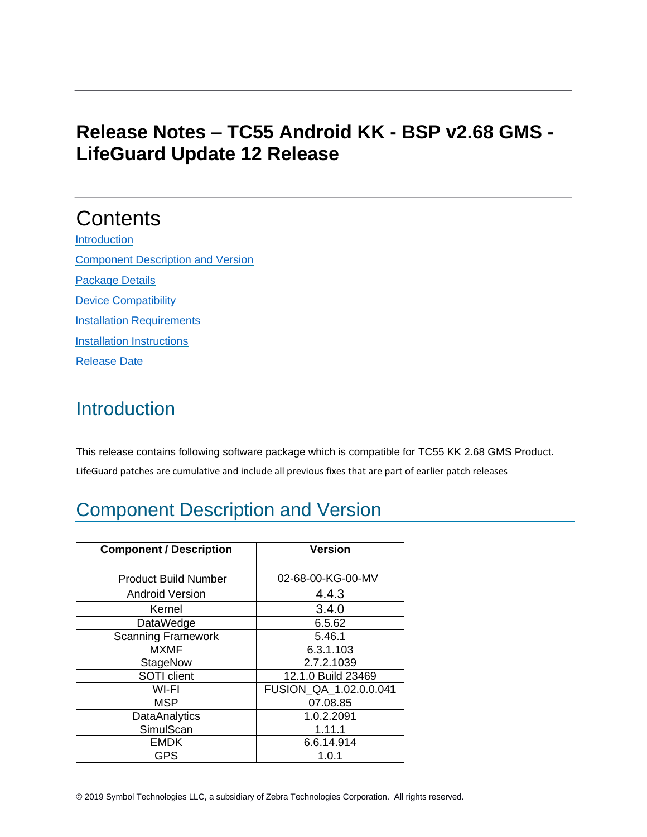# **Release Notes – TC55 Android KK - BSP v2.68 GMS - LifeGuard Update 12 Release**

# **Contents**

**[Introduction](#page-0-0)** [Component Description and Version](#page-0-1) [Package Details](#page-6-0) [Device Compatibility](#page-6-1) **[Installation Requirements](#page-7-0) [Installation Instructions](#page-8-0)** [Release Date](#page-8-1)

## <span id="page-0-0"></span>**Introduction**

This release contains following software package which is compatible for TC55 KK 2.68 GMS Product. LifeGuard patches are cumulative and include all previous fixes that are part of earlier patch releases

# <span id="page-0-1"></span>Component Description and Version

| <b>Component / Description</b> | <b>Version</b>         |  |
|--------------------------------|------------------------|--|
|                                |                        |  |
| <b>Product Build Number</b>    | 02-68-00-KG-00-MV      |  |
| <b>Android Version</b>         | 4.4.3                  |  |
| Kernel                         | 3.4.0                  |  |
| DataWedge                      | 6.5.62                 |  |
| Scanning Framework             | 5.46.1                 |  |
| <b>MXMF</b>                    | 6.3.1.103              |  |
| <b>StageNow</b>                | 2.7.2.1039             |  |
| SOTI client                    | 12.1.0 Build 23469     |  |
| WI-FI                          | FUSION_QA_1.02.0.0.041 |  |
| <b>MSP</b>                     | 07.08.85               |  |
| <b>DataAnalytics</b>           | 1.0.2.2091             |  |
| SimulScan                      | 1.11.1                 |  |
| <b>EMDK</b>                    | 6.6.14.914             |  |
| <b>GPS</b>                     | 1.0.1                  |  |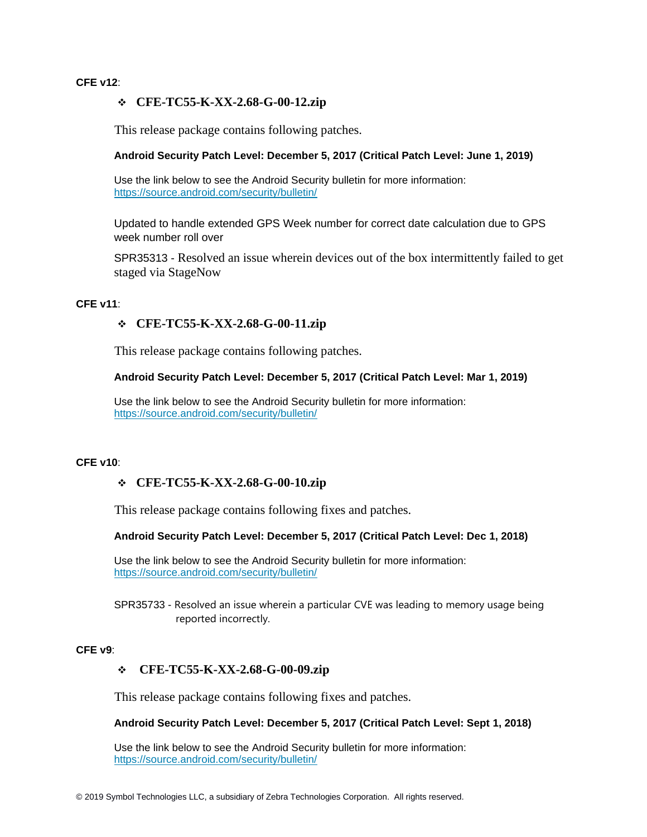#### **CFE v12**:

#### ❖ **CFE-TC55-K-XX-2.68-G-00-12.zip**

This release package contains following patches.

#### **Android Security Patch Level: December 5, 2017 (Critical Patch Level: June 1, 2019)**

Use the link below to see the Android Security bulletin for more information: <https://source.android.com/security/bulletin/>

Updated to handle extended GPS Week number for correct date calculation due to GPS week number roll over

SPR35313 - Resolved an issue wherein devices out of the box intermittently failed to get staged via StageNow

### **CFE v11**:

### ❖ **CFE-TC55-K-XX-2.68-G-00-11.zip**

This release package contains following patches.

#### **Android Security Patch Level: December 5, 2017 (Critical Patch Level: Mar 1, 2019)**

Use the link below to see the Android Security bulletin for more information: <https://source.android.com/security/bulletin/>

#### **CFE v10**:

### ❖ **CFE-TC55-K-XX-2.68-G-00-10.zip**

This release package contains following fixes and patches.

#### **Android Security Patch Level: December 5, 2017 (Critical Patch Level: Dec 1, 2018)**

Use the link below to see the Android Security bulletin for more information: <https://source.android.com/security/bulletin/>

SPR35733 - Resolved an issue wherein a particular CVE was leading to memory usage being reported incorrectly.

#### **CFE v9**:

### ❖ **CFE-TC55-K-XX-2.68-G-00-09.zip**

This release package contains following fixes and patches.

#### **Android Security Patch Level: December 5, 2017 (Critical Patch Level: Sept 1, 2018)**

Use the link below to see the Android Security bulletin for more information: <https://source.android.com/security/bulletin/>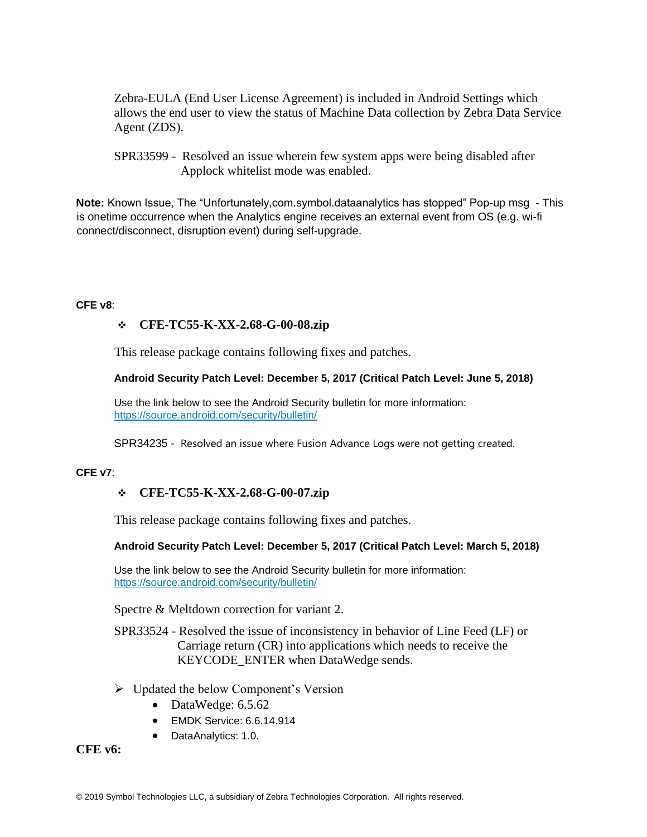Zebra-EULA (End User License Agreement) is included in Android Settings which allows the end user to view the status of Machine Data collection by Zebra Data Service Agent (ZDS).

**Note:** Known Issue, The "Unfortunately,com.symbol.dataanalytics has stopped" Pop-up msg - This is onetime occurrence when the Analytics engine receives an external event from OS (e.g. wi-fi connect/disconnect, disruption event) during self-upgrade.

#### **CFE v8**:

## ❖ **CFE-TC55-K-XX-2.68-G-00-08.zip**

This release package contains following fixes and patches.

### **Android Security Patch Level: December 5, 2017 (Critical Patch Level: June 5, 2018)**

Use the link below to see the Android Security bulletin for more information: <https://source.android.com/security/bulletin/>

SPR34235 - Resolved an issue where Fusion Advance Logs were not getting created.

### **CFE v7**:

### ❖ **CFE-TC55-K-XX-2.68-G-00-07.zip**

This release package contains following fixes and patches.

### **Android Security Patch Level: December 5, 2017 (Critical Patch Level: March 5, 2018)**

Use the link below to see the Android Security bulletin for more information: <https://source.android.com/security/bulletin/>

Spectre & Meltdown correction for variant 2.

SPR33524 - Resolved the issue of inconsistency in behavior of Line Feed (LF) or Carriage return (CR) into applications which needs to receive the KEYCODE\_ENTER when DataWedge sends.

- ➢ Updated the below Component's Version
	- DataWedge: 6.5.62
	- EMDK Service: 6.6.14.914
	- DataAnalytics: 1.0.

**CFE v6:**

SPR33599 - Resolved an issue wherein few system apps were being disabled after Applock whitelist mode was enabled.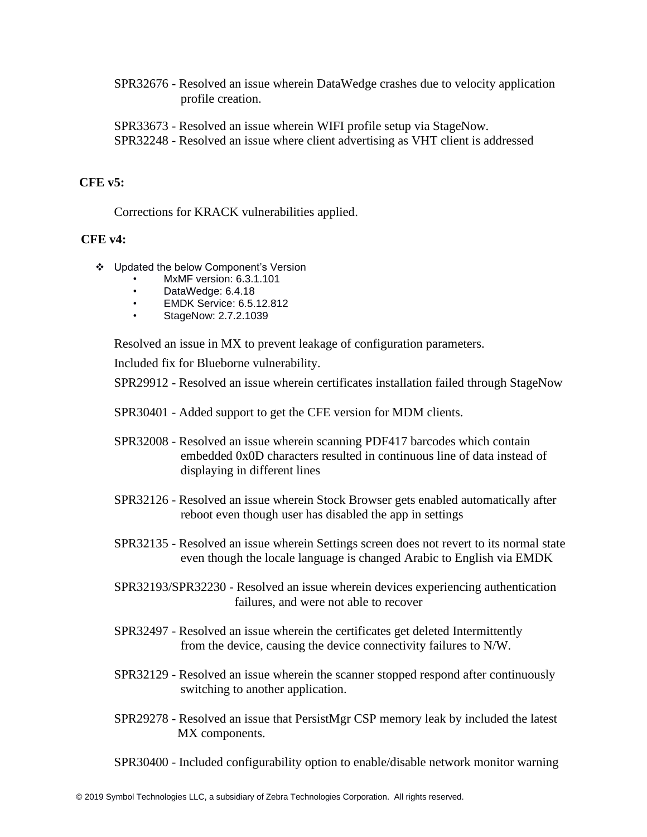SPR32676 - Resolved an issue wherein DataWedge crashes due to velocity application profile creation.

SPR33673 - Resolved an issue wherein WIFI profile setup via StageNow. SPR32248 - Resolved an issue where client advertising as VHT client is addressed

## **CFE v5:**

Corrections for KRACK vulnerabilities applied.

## **CFE v4:**

- ❖ Updated the below Component's Version
	- MxMF version: 6.3.1.101
	- DataWedge: 6.4.18
	- EMDK Service: 6.5.12.812
	- StageNow: 2.7.2.1039

Resolved an issue in MX to prevent leakage of configuration parameters.

Included fix for Blueborne vulnerability.

SPR29912 - Resolved an issue wherein certificates installation failed through StageNow

- SPR30401 Added support to get the CFE version for MDM clients.
- SPR32008 Resolved an issue wherein scanning PDF417 barcodes which contain embedded 0x0D characters resulted in continuous line of data instead of displaying in different lines
- SPR32126 Resolved an issue wherein Stock Browser gets enabled automatically after reboot even though user has disabled the app in settings
- SPR32135 Resolved an issue wherein Settings screen does not revert to its normal state even though the locale language is changed Arabic to English via EMDK
- SPR32193/SPR32230 Resolved an issue wherein devices experiencing authentication failures, and were not able to recover
- SPR32497 Resolved an issue wherein the certificates get deleted Intermittently from the device, causing the device connectivity failures to N/W.
- SPR32129 Resolved an issue wherein the scanner stopped respond after continuously switching to another application.
- SPR29278 Resolved an issue that PersistMgr CSP memory leak by included the latest MX components.
- SPR30400 Included configurability option to enable/disable network monitor warning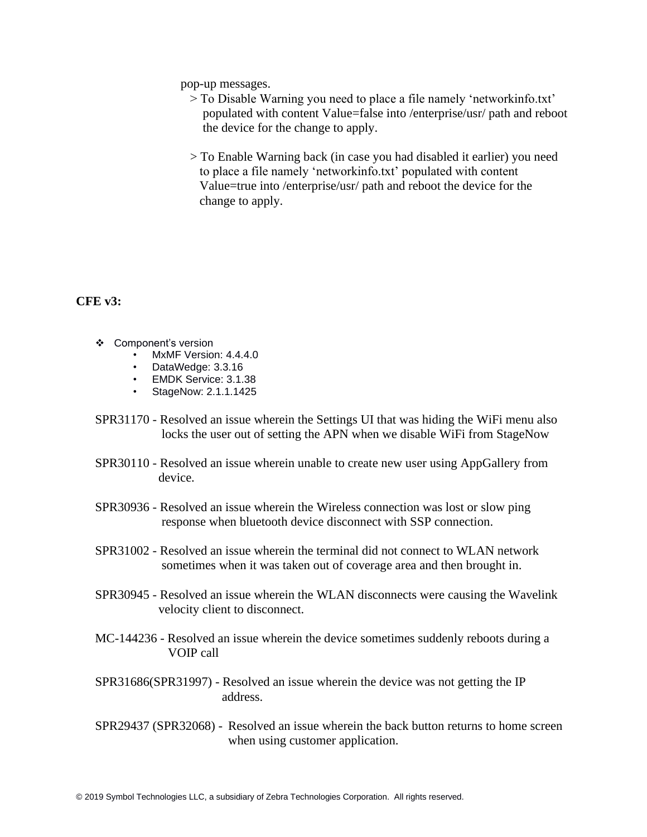pop-up messages.

- > To Disable Warning you need to place a file namely 'networkinfo.txt' populated with content Value=false into /enterprise/usr/ path and reboot the device for the change to apply.
- > To Enable Warning back (in case you had disabled it earlier) you need to place a file namely 'networkinfo.txt' populated with content Value=true into /enterprise/usr/ path and reboot the device for the change to apply.

### **CFE v3:**

- ❖ Component's version
	- MxMF Version: 4.4.4.0
	- DataWedge: 3.3.16
	- EMDK Service: 3.1.38
	- StageNow: 2.1.1.1425
- SPR31170 Resolved an issue wherein the Settings UI that was hiding the WiFi menu also locks the user out of setting the APN when we disable WiFi from StageNow
- SPR30110 Resolved an issue wherein unable to create new user using AppGallery from device.
- SPR30936 Resolved an issue wherein the Wireless connection was lost or slow ping response when bluetooth device disconnect with SSP connection.
- SPR31002 Resolved an issue wherein the terminal did not connect to WLAN network sometimes when it was taken out of coverage area and then brought in.
- SPR30945 Resolved an issue wherein the WLAN disconnects were causing the Wavelink velocity client to disconnect.
- MC-144236 Resolved an issue wherein the device sometimes suddenly reboots during a VOIP call
- SPR31686(SPR31997) Resolved an issue wherein the device was not getting the IP address.
- SPR29437 (SPR32068) Resolved an issue wherein the back button returns to home screen when using customer application.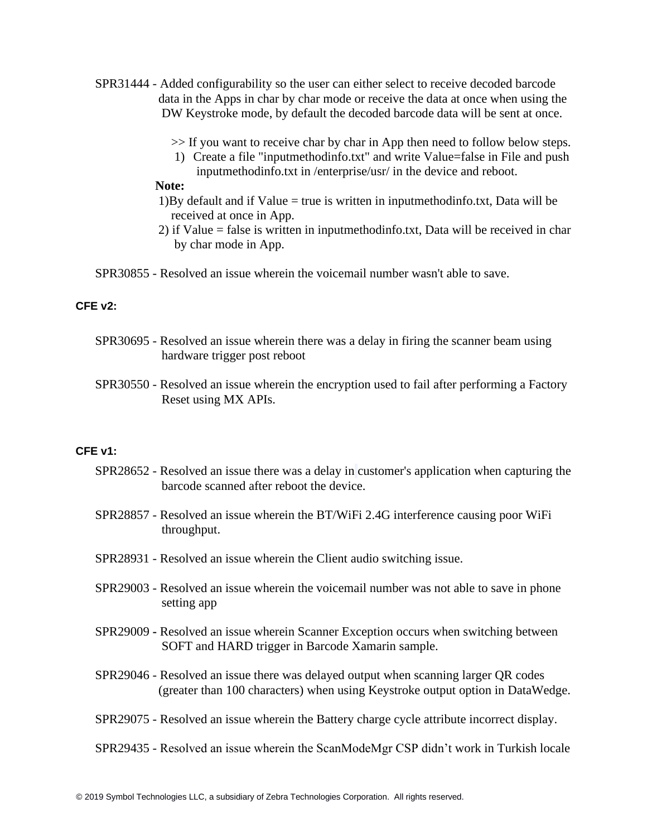- SPR31444 Added configurability so the user can either select to receive decoded barcode data in the Apps in char by char mode or receive the data at once when using the DW Keystroke mode, by default the decoded barcode data will be sent at once.
	- >> If you want to receive char by char in App then need to follow below steps.
	- 1) Create a file "inputmethodinfo.txt" and write Value=false in File and push inputmethodinfo.txt in /enterprise/usr/ in the device and reboot.

## **Note:**

- 1)By default and if Value  $=$  true is written in inputmethodinfo.txt, Data will be received at once in App.
- 2) if Value = false is written in inputmethodinfo.txt, Data will be received in char by char mode in App.

SPR30855 - Resolved an issue wherein the voicemail number wasn't able to save.

## **CFE v2:**

- SPR30695 Resolved an issue wherein there was a delay in firing the scanner beam using hardware trigger post reboot
- SPR30550 Resolved an issue wherein the encryption used to fail after performing a Factory Reset using MX APIs.

#### **CFE v1:**

- SPR28652 Resolved an issue there was a delay in customer's application when capturing the barcode scanned after reboot the device.
- SPR28857 Resolved an issue wherein the BT/WiFi 2.4G interference causing poor WiFi throughput.
- SPR28931 Resolved an issue wherein the Client audio switching issue.
- SPR29003 Resolved an issue wherein the voicemail number was not able to save in phone setting app
- SPR29009 **-** Resolved an issue wherein Scanner Exception occurs when switching between SOFT and HARD trigger in Barcode Xamarin sample.
- SPR29046 Resolved an issue there was delayed output when scanning larger QR codes (greater than 100 characters) when using Keystroke output option in DataWedge.
- SPR29075 Resolved an issue wherein the Battery charge cycle attribute incorrect display.
- SPR29435 Resolved an issue wherein the ScanModeMgr CSP didn't work in Turkish locale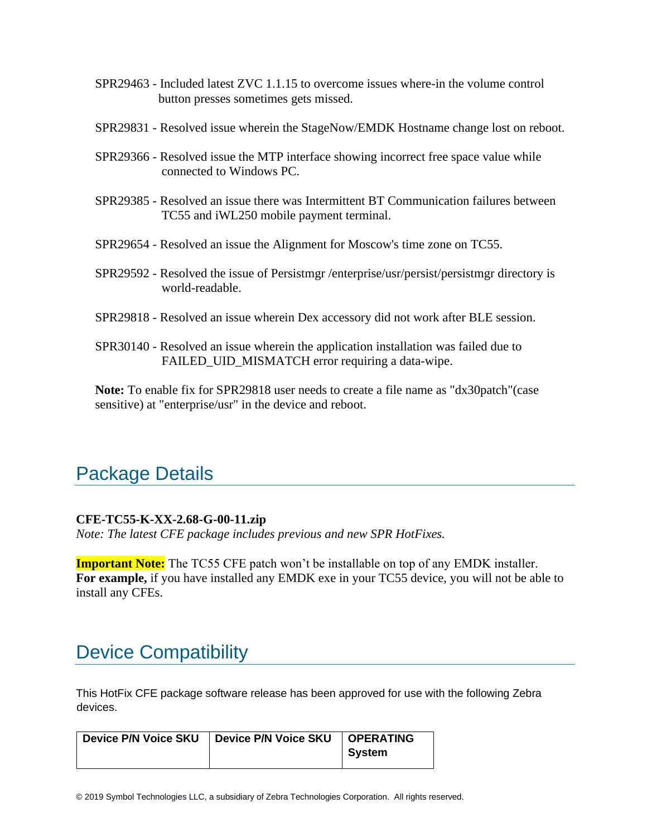- SPR29463 Included latest ZVC 1.1.15 to overcome issues where-in the volume control button presses sometimes gets missed.
- SPR29831 Resolved issue wherein the StageNow/EMDK Hostname change lost on reboot.
- SPR29366 Resolved issue the MTP interface showing incorrect free space value while connected to Windows PC.
- SPR29385 Resolved an issue there was Intermittent BT Communication failures between TC55 and iWL250 mobile payment terminal.
- SPR29654 Resolved an issue the Alignment for Moscow's time zone on TC55.
- SPR29592 Resolved the issue of Persistmgr /enterprise/usr/persist/persistmgr directory is world-readable.
- SPR29818 Resolved an issue wherein Dex accessory did not work after BLE session.
- SPR30140 Resolved an issue wherein the application installation was failed due to FAILED\_UID\_MISMATCH error requiring a data-wipe.

**Note:** To enable fix for SPR29818 user needs to create a file name as "dx30patch"(case sensitive) at "enterprise/usr" in the device and reboot.

## <span id="page-6-0"></span>Package Details

## **CFE-TC55-K-XX-2.68-G-00-11.zip**

*Note: The latest CFE package includes previous and new SPR HotFixes.* 

**Important Note:** The TC55 CFE patch won't be installable on top of any EMDK installer. **For example,** if you have installed any EMDK exe in your TC55 device, you will not be able to install any CFEs.

## <span id="page-6-1"></span>Device Compatibility

This HotFix CFE package software release has been approved for use with the following Zebra devices.

| Device P/N Voice SKU   Device P/N Voice SKU | <b>OPERATING</b> |
|---------------------------------------------|------------------|
|                                             | System           |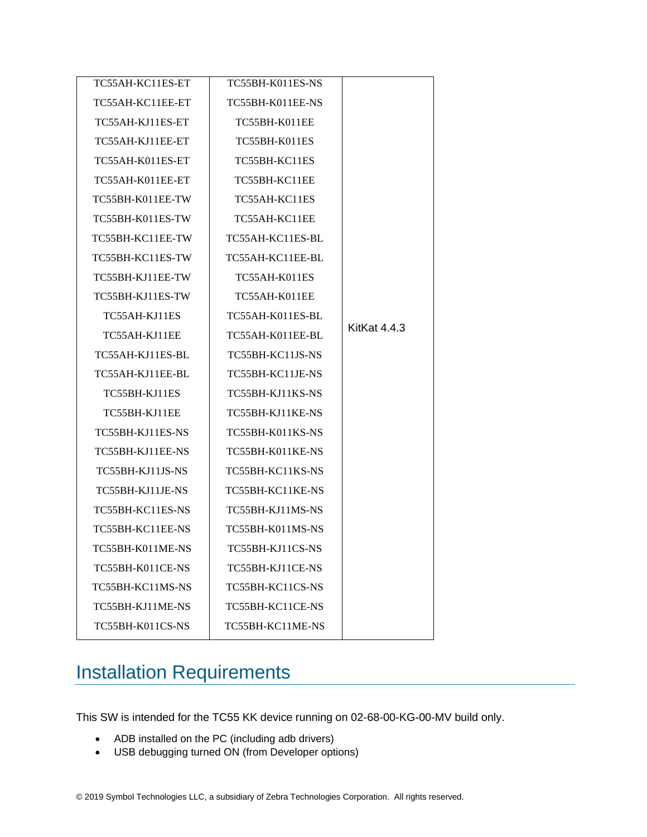| TC55AH-KC11ES-ET | TC55BH-K011ES-NS |                     |
|------------------|------------------|---------------------|
| TC55AH-KC11EE-ET | TC55BH-K011EE-NS |                     |
| TC55AH-KJ11ES-ET | TC55BH-K011EE    |                     |
| TC55AH-KJ11EE-ET | TC55BH-K011ES    |                     |
| TC55AH-K011ES-ET | TC55BH-KC11ES    |                     |
| TC55AH-K011EE-ET | TC55BH-KC11EE    |                     |
| TC55BH-K011EE-TW | TC55AH-KC11ES    |                     |
| TC55BH-K011ES-TW | TC55AH-KC11EE    |                     |
| TC55BH-KC11EE-TW | TC55AH-KC11ES-BL |                     |
| TC55BH-KC11ES-TW | TC55AH-KC11EE-BL |                     |
| TC55BH-KJ11EE-TW | TC55AH-K011ES    |                     |
| TC55BH-KJ11ES-TW | TC55AH-K011EE    |                     |
| TC55AH-KJ11ES    | TC55AH-K011ES-BL |                     |
| TC55AH-KJ11EE    | TC55AH-K011EE-BL | <b>KitKat 4.4.3</b> |
| TC55AH-KJ11ES-BL | TC55BH-KC11JS-NS |                     |
| TC55AH-KJ11EE-BL | TC55BH-KC11JE-NS |                     |
| TC55BH-KJ11ES    | TC55BH-KJ11KS-NS |                     |
| TC55BH-KJ11EE    | TC55BH-KJ11KE-NS |                     |
| TC55BH-KJ11ES-NS | TC55BH-K011KS-NS |                     |
| TC55BH-KJ11EE-NS | TC55BH-K011KE-NS |                     |
| TC55BH-KJ11JS-NS | TC55BH-KC11KS-NS |                     |
| TC55BH-KJ11JE-NS | TC55BH-KC11KE-NS |                     |
| TC55BH-KC11ES-NS | TC55BH-KJ11MS-NS |                     |
| TC55BH-KC11EE-NS | TC55BH-K011MS-NS |                     |
| TC55BH-K011ME-NS | TC55BH-KJ11CS-NS |                     |
| TC55BH-K011CE-NS | TC55BH-KJ11CE-NS |                     |
| TC55BH-KC11MS-NS | TC55BH-KC11CS-NS |                     |
| TC55BH-KJ11ME-NS | TC55BH-KC11CE-NS |                     |
| TC55BH-K011CS-NS | TC55BH-KC11ME-NS |                     |

# <span id="page-7-0"></span>Installation Requirements

This SW is intended for the TC55 KK device running on 02-68-00-KG-00-MV build only.

- ADB installed on the PC (including adb drivers)
- USB debugging turned ON (from Developer options)